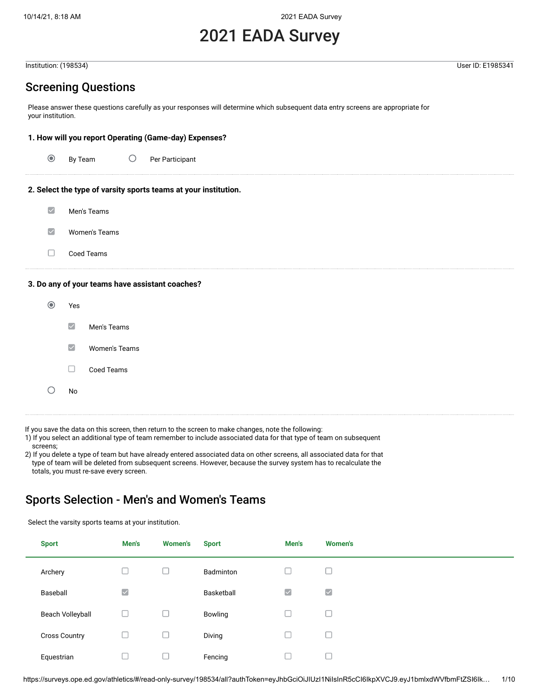# 2021 EADA Survey

#### Screening Questions

Please answer these questions carefully as your responses will determine which subsequent data entry screens are appropriate for your institution.

#### **1. How will you report Operating (Game-day) Expenses?**

| $\odot$ | By Team | Per Participant |
|---------|---------|-----------------|
|         |         |                 |

#### **2. Select the type of varsity sports teams at your institution.**

| Men's Teams   |
|---------------|
| Women's Teams |
| Coed Teams    |

#### **3. Do any of your teams have assistant coaches?**



If you save the data on this screen, then return to the screen to make changes, note the following:

- 1) If you select an additional type of team remember to include associated data for that type of team on subsequent screens;
- 2) If you delete a type of team but have already entered associated data on other screens, all associated data for that type of team will be deleted from subsequent screens. However, because the survey system has to recalculate the totals, you must re-save every screen.

#### Sports Selection - Men's and Women's Teams

Select the varsity sports teams at your institution.

| <b>Sport</b>            | Men's               | <b>Women's</b> | <b>Sport</b> | Men's                | <b>Women's</b>           |
|-------------------------|---------------------|----------------|--------------|----------------------|--------------------------|
| Archery                 |                     |                | Badminton    |                      | ш                        |
| Baseball                | $\overline{\smile}$ |                | Basketball   | $\blacktriangledown$ | $\overline{\smile}$      |
| <b>Beach Volleyball</b> | u                   |                | Bowling      | ப                    | $\overline{\phantom{a}}$ |
| <b>Cross Country</b>    | $\Box$              | ப              | Diving       | u                    | $\Box$                   |
| Equestrian              |                     |                | Fencing      |                      |                          |

Institution: (198534) User ID: E1985341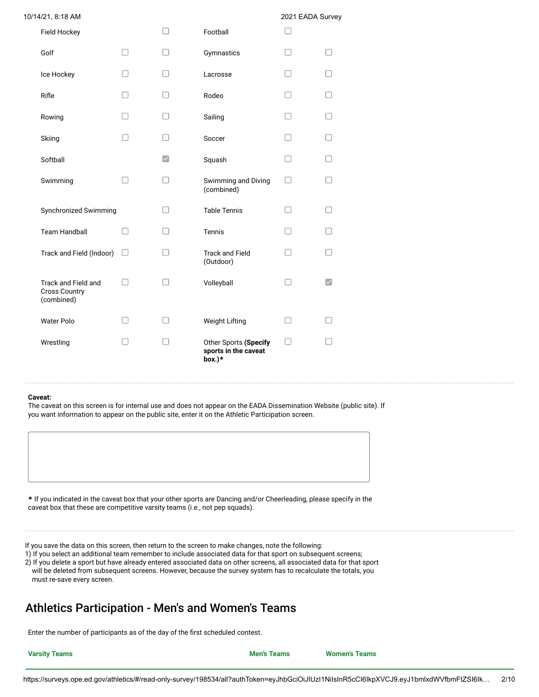| 10/14/21, 8:18 AM                                         |                      |                                                         | 2021 EADA Survey |                                             |
|-----------------------------------------------------------|----------------------|---------------------------------------------------------|------------------|---------------------------------------------|
| Field Hockey                                              |                      | Football                                                |                  |                                             |
| Golf                                                      |                      | Gymnastics                                              |                  |                                             |
| Ice Hockey                                                |                      | Lacrosse                                                |                  |                                             |
| Rifle                                                     |                      | Rodeo                                                   |                  |                                             |
| Rowing                                                    |                      | Sailing                                                 |                  |                                             |
| Skiing                                                    |                      | Soccer                                                  |                  |                                             |
| Softball                                                  | $\blacktriangledown$ | Squash                                                  |                  |                                             |
| Swimming                                                  |                      | Swimming and Diving<br>(combined)                       | ┓                |                                             |
| Synchronized Swimming                                     |                      | <b>Table Tennis</b>                                     |                  |                                             |
| <b>Team Handball</b>                                      |                      | Tennis                                                  |                  |                                             |
| Track and Field (Indoor)                                  |                      | <b>Track and Field</b><br>(Outdoor)                     |                  |                                             |
| Track and Field and<br><b>Cross Country</b><br>(combined) |                      | Volleyball                                              |                  | $\vert\mathcal{\mathcal{\mathcal{L}}}\vert$ |
| <b>Water Polo</b>                                         |                      | <b>Weight Lifting</b>                                   |                  |                                             |
| Wrestling                                                 |                      | Other Sports (Specify<br>sports in the caveat<br>box.)* | П                |                                             |

#### **Caveat:**

The caveat on this screen is for internal use and does not appear on the EADA Dissemination Website (public site). If you want information to appear on the public site, enter it on the Athletic Participation screen.

**\*** If you indicated in the caveat box that your other sports are Dancing and/or Cheerleading, please specify in the caveat box that these are competitive varsity teams (i.e., not pep squads).

If you save the data on this screen, then return to the screen to make changes, note the following:

- 1) If you select an additional team remember to include associated data for that sport on subsequent screens;
- 2) If you delete a sport but have already entered associated data on other screens, all associated data for that sport
- will be deleted from subsequent screens. However, because the survey system has to recalculate the totals, you must re-save every screen.

### Athletics Participation - Men's and Women's Teams

Enter the number of participants as of the day of the first scheduled contest.

**Varsity Teams Men's Teams Women's Teams**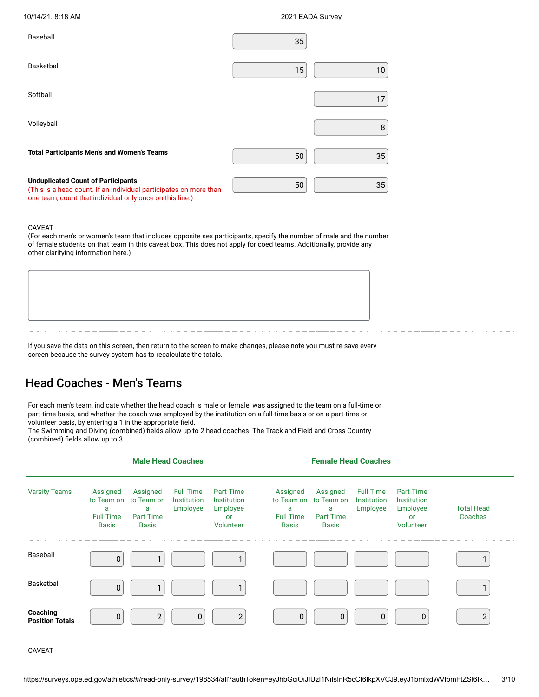#### 10/14/21, 8:18 AM 2021 EADA Survey

| Baseball                                                                                                                                                                   | 35 |    |
|----------------------------------------------------------------------------------------------------------------------------------------------------------------------------|----|----|
| Basketball                                                                                                                                                                 | 15 | 10 |
| Softball                                                                                                                                                                   |    | 17 |
| Volleyball                                                                                                                                                                 |    | 8  |
| <b>Total Participants Men's and Women's Teams</b>                                                                                                                          | 50 | 35 |
| <b>Unduplicated Count of Participants</b><br>(This is a head count. If an individual participates on more than<br>one team, count that individual only once on this line.) | 50 | 35 |

#### CAVEAT

(For each men's or women's team that includes opposite sex participants, specify the number of male and the number of female students on that team in this caveat box. This does not apply for coed teams. Additionally, provide any other clarifying information here.)

If you save the data on this screen, then return to the screen to make changes, please note you must re-save every screen because the survey system has to recalculate the totals.

#### Head Coaches - Men's Teams

For each men's team, indicate whether the head coach is male or female, was assigned to the team on a full-time or part-time basis, and whether the coach was employed by the institution on a full-time basis or on a part-time or volunteer basis, by entering a 1 in the appropriate field.

The Swimming and Diving (combined) fields allow up to 2 head coaches. The Track and Field and Cross Country (combined) fields allow up to 3.

|                                    |                                                          | <b>Male Head Coaches</b>                                 |                                             |                                                                |                                                                 | <b>Female Head Coaches</b>                               |                                                    |                                                                       |                              |
|------------------------------------|----------------------------------------------------------|----------------------------------------------------------|---------------------------------------------|----------------------------------------------------------------|-----------------------------------------------------------------|----------------------------------------------------------|----------------------------------------------------|-----------------------------------------------------------------------|------------------------------|
| <b>Varsity Teams</b>               | Assigned<br>to Team on<br>a<br>Full-Time<br><b>Basis</b> | Assigned<br>to Team on<br>a<br>Part-Time<br><b>Basis</b> | <b>Full-Time</b><br>Institution<br>Employee | Part-Time<br><b>Institution</b><br>Employee<br>or<br>Volunteer | Assigned<br>to Team on<br>a<br><b>Full-Time</b><br><b>Basis</b> | Assigned<br>to Team on<br>a<br>Part-Time<br><b>Basis</b> | <b>Full-Time</b><br><b>Institution</b><br>Employee | Part-Time<br><b>Institution</b><br>Employee<br><b>or</b><br>Volunteer | <b>Total Head</b><br>Coaches |
| Baseball                           | 0                                                        |                                                          |                                             |                                                                |                                                                 |                                                          |                                                    |                                                                       |                              |
| Basketball                         | 0                                                        | 1                                                        |                                             | 1                                                              |                                                                 |                                                          |                                                    |                                                                       |                              |
| Coaching<br><b>Position Totals</b> | 0                                                        | $\overline{2}$                                           | $\pmb{0}$                                   | $\overline{2}$                                                 | 0                                                               | $\mathbf 0$                                              | $\mathbf 0$                                        | $\mathbf 0$                                                           | $\overline{2}$               |

CAVEAT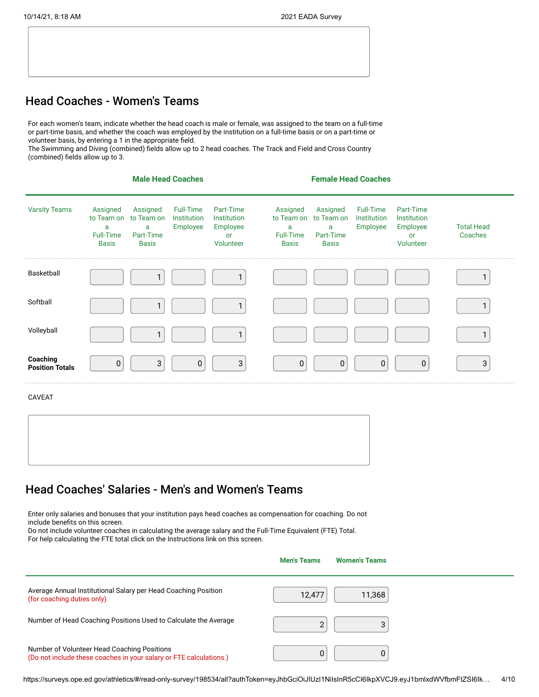#### Head Coaches - Women's Teams

For each women's team, indicate whether the head coach is male or female, was assigned to the team on a full-time or part-time basis, and whether the coach was employed by the institution on a full-time basis or on a part-time or volunteer basis, by entering a 1 in the appropriate field.

The Swimming and Diving (combined) fields allow up to 2 head coaches. The Track and Field and Cross Country (combined) fields allow up to 3.

|                                    |                                                                 |                                                          | <b>Male Head Coaches</b>                    |                                                                |                                                   | <b>Female Head Coaches</b>                                          |                                      |                                                                |                              |
|------------------------------------|-----------------------------------------------------------------|----------------------------------------------------------|---------------------------------------------|----------------------------------------------------------------|---------------------------------------------------|---------------------------------------------------------------------|--------------------------------------|----------------------------------------------------------------|------------------------------|
| <b>Varsity Teams</b>               | Assigned<br>to Team on<br>a<br><b>Full-Time</b><br><b>Basis</b> | Assigned<br>to Team on<br>a<br>Part-Time<br><b>Basis</b> | <b>Full-Time</b><br>Institution<br>Employee | Part-Time<br>Institution<br>Employee<br><b>or</b><br>Volunteer | Assigned<br>a<br><b>Full-Time</b><br><b>Basis</b> | Assigned<br>to Team on to Team on<br>a<br>Part-Time<br><b>Basis</b> | Full-Time<br>Institution<br>Employee | Part-Time<br>Institution<br>Employee<br><b>or</b><br>Volunteer | <b>Total Head</b><br>Coaches |
| Basketball                         |                                                                 | 1                                                        |                                             | 1                                                              |                                                   |                                                                     |                                      |                                                                |                              |
| Softball                           |                                                                 | 1                                                        |                                             | 1                                                              |                                                   |                                                                     |                                      |                                                                |                              |
| Volleyball                         |                                                                 | 1                                                        |                                             | 1                                                              |                                                   |                                                                     |                                      |                                                                |                              |
| Coaching<br><b>Position Totals</b> | 0                                                               | $\ensuremath{\mathsf{3}}$                                | $\pmb{0}$                                   | $\sqrt{3}$                                                     | $\pmb{0}$                                         | $\pmb{0}$                                                           | 0                                    | $\mathbf 0$                                                    | $\mathfrak{Z}$               |
| <b>CAVEAT</b>                      |                                                                 |                                                          |                                             |                                                                |                                                   |                                                                     |                                      |                                                                |                              |
|                                    |                                                                 |                                                          |                                             |                                                                |                                                   |                                                                     |                                      |                                                                |                              |
|                                    |                                                                 |                                                          |                                             |                                                                |                                                   |                                                                     |                                      |                                                                |                              |

#### Head Coaches' Salaries - Men's and Women's Teams

Enter only salaries and bonuses that your institution pays head coaches as compensation for coaching. Do not include benefits on this screen.

Do not include volunteer coaches in calculating the average salary and the Full-Time Equivalent (FTE) Total. For help calculating the FTE total click on the Instructions link on this screen.

|                                                                                                                   | <b>Men's Teams</b> | <b>Women's Teams</b> |
|-------------------------------------------------------------------------------------------------------------------|--------------------|----------------------|
| Average Annual Institutional Salary per Head Coaching Position<br>(for coaching duties only)                      | 12,477             | 11,368               |
| Number of Head Coaching Positions Used to Calculate the Average                                                   | C                  | ว                    |
| Number of Volunteer Head Coaching Positions<br>(Do not include these coaches in your salary or FTE calculations.) | $\Omega$           |                      |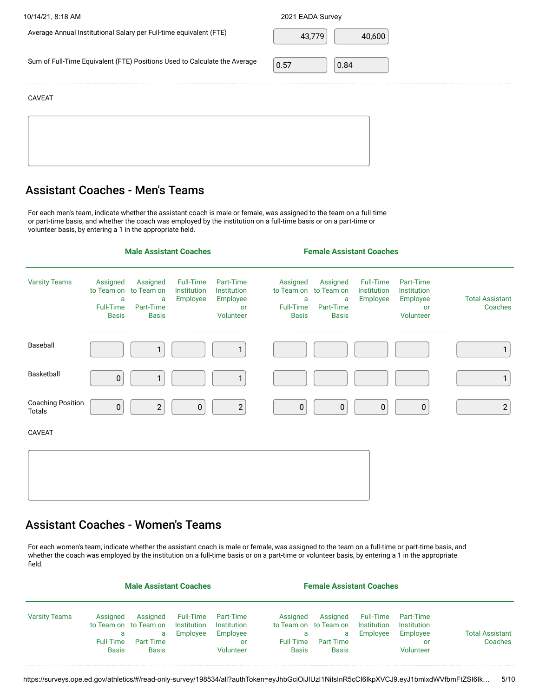| 10/14/21, 8:18 AM                                                         | 2021 EADA Survey |
|---------------------------------------------------------------------------|------------------|
| Average Annual Institutional Salary per Full-time equivalent (FTE)        | 43,779<br>40,600 |
| Sum of Full-Time Equivalent (FTE) Positions Used to Calculate the Average | 0.57<br>0.84     |
| <b>CAVEAT</b>                                                             |                  |
|                                                                           |                  |
|                                                                           |                  |

## Assistant Coaches - Men's Teams

For each men's team, indicate whether the assistant coach is male or female, was assigned to the team on a full-time or part-time basis, and whether the coach was employed by the institution on a full-time basis or on a part-time or volunteer basis, by entering a 1 in the appropriate field.

|                                           |                                       | <b>Male Assistant Coaches</b>                                                |                                      |                                                                |                                       | <b>Female Assistant Coaches</b>                                              |                                             |                                                                |                                   |
|-------------------------------------------|---------------------------------------|------------------------------------------------------------------------------|--------------------------------------|----------------------------------------------------------------|---------------------------------------|------------------------------------------------------------------------------|---------------------------------------------|----------------------------------------------------------------|-----------------------------------|
| <b>Varsity Teams</b>                      | a<br><b>Full-Time</b><br><b>Basis</b> | Assigned Assigned<br>to Team on to Team on<br>a<br>Part-Time<br><b>Basis</b> | Full-Time<br>Institution<br>Employee | Part-Time<br>Institution<br>Employee<br><b>or</b><br>Volunteer | a<br><b>Full-Time</b><br><b>Basis</b> | Assigned Assigned<br>to Team on to Team on<br>a<br>Part-Time<br><b>Basis</b> | <b>Full-Time</b><br>Institution<br>Employee | Part-Time<br>Institution<br>Employee<br><b>or</b><br>Volunteer | <b>Total Assistant</b><br>Coaches |
| Baseball                                  |                                       | 1                                                                            |                                      |                                                                |                                       |                                                                              |                                             |                                                                | 1                                 |
| Basketball                                | $\pmb{0}$                             | $\mathbf{1}$                                                                 |                                      |                                                                |                                       |                                                                              |                                             |                                                                | 1                                 |
| <b>Coaching Position</b><br><b>Totals</b> | $\mathbf{0}$                          | $\mathbf{2}$                                                                 | $\mathbf 0$                          | $\sqrt{2}$                                                     | $\mathbf 0$                           | $\mathbf 0$                                                                  | 0                                           | $\mathbf 0$                                                    | $\overline{2}$                    |
| CAVEAT                                    |                                       |                                                                              |                                      |                                                                |                                       |                                                                              |                                             |                                                                |                                   |
|                                           |                                       |                                                                              |                                      |                                                                |                                       |                                                                              |                                             |                                                                |                                   |

## Assistant Coaches - Women's Teams

For each women's team, indicate whether the assistant coach is male or female, was assigned to the team on a full-time or part-time basis, and whether the coach was employed by the institution on a full-time basis or on a part-time or volunteer basis, by entering a 1 in the appropriate field.

|                      | <b>Male Assistant Coaches</b>              |                                                                     |                                      | <b>Female Assistant Coaches</b>                         |                                            |                                                                     |                                      |                                                         |                                   |
|----------------------|--------------------------------------------|---------------------------------------------------------------------|--------------------------------------|---------------------------------------------------------|--------------------------------------------|---------------------------------------------------------------------|--------------------------------------|---------------------------------------------------------|-----------------------------------|
| <b>Varsity Teams</b> | Assigned<br>a<br>Full-Time<br><b>Basis</b> | Assigned<br>to Team on to Team on<br>a<br>Part-Time<br><b>Basis</b> | Full-Time<br>Institution<br>Employee | Part-Time<br>Institution<br>Employee<br>or<br>Volunteer | Assigned<br>a<br>Full-Time<br><b>Basis</b> | Assigned<br>to Team on to Team on<br>a<br>Part-Time<br><b>Basis</b> | Full-Time<br>Institution<br>Employee | Part-Time<br>Institution<br>Employee<br>or<br>Volunteer | <b>Total Assistant</b><br>Coaches |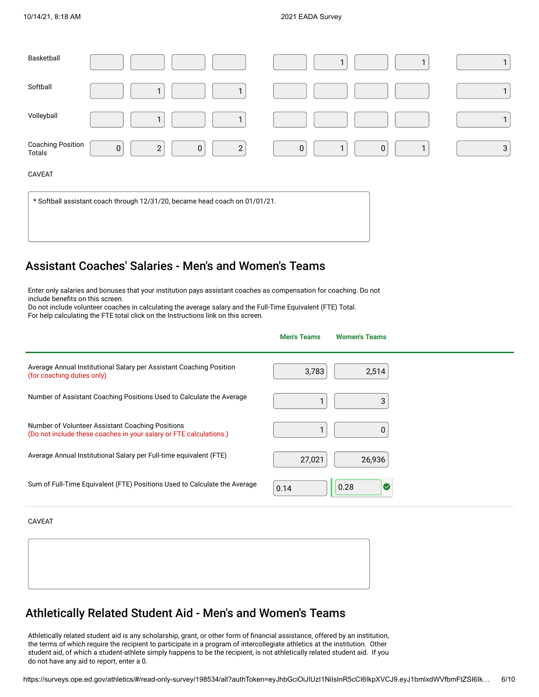| Basketball                         |                                                                | $\mathbf{I}$<br>$\mathbf{1}$         | $\mathbf{1}$ |
|------------------------------------|----------------------------------------------------------------|--------------------------------------|--------------|
| Softball                           | $\mathbf{1}$<br>1                                              |                                      | $\mathbf{1}$ |
| Volleyball                         | $\mathbf{1}$<br>$\mathbf{I}$                                   |                                      | $\mathbf{1}$ |
| <b>Coaching Position</b><br>Totals | $\overline{2}$<br>$\overline{2}$<br>$\mathsf 0$<br>$\mathbf 0$ | $\mathbf 0$<br>$\mathbf 0$<br>1<br>1 | $\mathbf{3}$ |
| CAVEAT                             |                                                                |                                      |              |

\* Softball assistant coach through 12/31/20, became head coach on 01/01/21.

#### Assistant Coaches' Salaries - Men's and Women's Teams

Enter only salaries and bonuses that your institution pays assistant coaches as compensation for coaching. Do not include benefits on this screen.

Do not include volunteer coaches in calculating the average salary and the Full-Time Equivalent (FTE) Total. For help calculating the FTE total click on the Instructions link on this screen.

|                                                                                                                        | <b>Men's Teams</b> | <b>Women's Teams</b> |
|------------------------------------------------------------------------------------------------------------------------|--------------------|----------------------|
| Average Annual Institutional Salary per Assistant Coaching Position<br>(for coaching duties only)                      | 3,783              | 2,514                |
| Number of Assistant Coaching Positions Used to Calculate the Average                                                   |                    | 3                    |
| Number of Volunteer Assistant Coaching Positions<br>(Do not include these coaches in your salary or FTE calculations.) |                    | 0                    |
| Average Annual Institutional Salary per Full-time equivalent (FTE)                                                     | 27,021             | 26,936               |
| Sum of Full-Time Equivalent (FTE) Positions Used to Calculate the Average                                              | 0.14               | 0.28<br>$\bullet$    |

CAVEAT

## Athletically Related Student Aid - Men's and Women's Teams

Athletically related student aid is any scholarship, grant, or other form of financial assistance, offered by an institution, the terms of which require the recipient to participate in a program of intercollegiate athletics at the institution. Other student aid, of which a student-athlete simply happens to be the recipient, is not athletically related student aid. If you do not have any aid to report, enter a 0.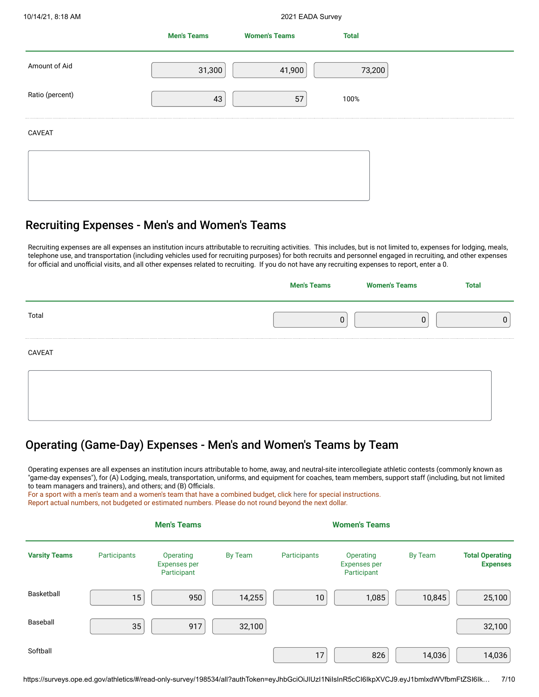|                 | <b>Men's Teams</b> | <b>Women's Teams</b> | <b>Total</b> |  |
|-----------------|--------------------|----------------------|--------------|--|
| Amount of Aid   | 31,300             | 41,900               | 73,200       |  |
| Ratio (percent) | 43                 | 57                   | 100%         |  |
| CAVEAT          |                    |                      |              |  |
|                 |                    |                      |              |  |
|                 |                    |                      |              |  |

### Recruiting Expenses - Men's and Women's Teams

Recruiting expenses are all expenses an institution incurs attributable to recruiting activities. This includes, but is not limited to, expenses for lodging, meals, telephone use, and transportation (including vehicles used for recruiting purposes) for both recruits and personnel engaged in recruiting, and other expenses for official and unofficial visits, and all other expenses related to recruiting. If you do not have any recruiting expenses to report, enter a 0.

|               | <b>Men's Teams</b> | <b>Women's Teams</b> | <b>Total</b> |
|---------------|--------------------|----------------------|--------------|
| Total         | 0                  |                      |              |
|               |                    |                      |              |
| <b>CAVEAT</b> |                    |                      |              |

## Operating (Game-Day) Expenses - Men's and Women's Teams by Team

Operating expenses are all expenses an institution incurs attributable to home, away, and neutral-site intercollegiate athletic contests (commonly known as "game-day expenses"), for (A) Lodging, meals, transportation, uniforms, and equipment for coaches, team members, support staff (including, but not limited to team managers and trainers), and others; and (B) Officials.

For a sport with a men's team and a women's team that have a combined budget, click [here](https://surveys.ope.ed.gov/athletics2k21/wwwroot/documents/inst_1.pdf) for special instructions. Report actual numbers, not budgeted or estimated numbers. Please do not round beyond the next dollar.

|                      |              | <b>Men's Teams</b>                              |         |              | <b>Women's Teams</b>                            |         |                                           |
|----------------------|--------------|-------------------------------------------------|---------|--------------|-------------------------------------------------|---------|-------------------------------------------|
| <b>Varsity Teams</b> | Participants | Operating<br><b>Expenses per</b><br>Participant | By Team | Participants | Operating<br><b>Expenses per</b><br>Participant | By Team | <b>Total Operating</b><br><b>Expenses</b> |
| Basketball           | 15           | 950                                             | 14,255  | 10           | 1,085                                           | 10,845  | 25,100                                    |
| Baseball             | 35           | 917                                             | 32,100  |              |                                                 |         | 32,100                                    |
| Softball             |              |                                                 |         | 17           | 826                                             | 14,036  | 14,036                                    |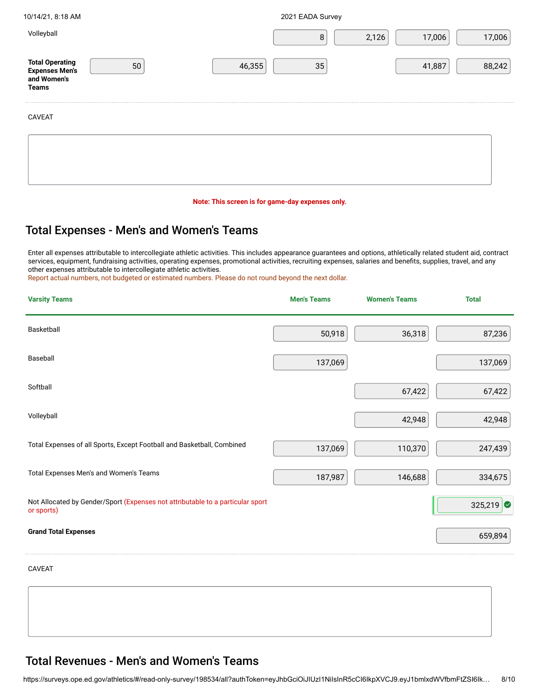| 10/14/21, 8:18 AM                                                        |    |        | 2021 EADA Survey |       |        |        |
|--------------------------------------------------------------------------|----|--------|------------------|-------|--------|--------|
| Volleyball                                                               |    |        | 8                | 2,126 | 17,006 | 17,006 |
| <b>Total Operating<br/>Expenses Men's</b><br>and Women's<br><b>Teams</b> | 50 | 46,355 | 35               |       | 41,887 | 88,242 |
| <b>CAVEAT</b>                                                            |    |        |                  |       |        |        |

#### **Note: This screen is for game-day expenses only.**

## Total Expenses - Men's and Women's Teams

Enter all expenses attributable to intercollegiate athletic activities. This includes appearance guarantees and options, athletically related student aid, contract services, equipment, fundraising activities, operating expenses, promotional activities, recruiting expenses, salaries and benefits, supplies, travel, and any other expenses attributable to intercollegiate athletic activities.

Report actual numbers, not budgeted or estimated numbers. Please do not round beyond the next dollar.

| <b>Varsity Teams</b>                                                                         | <b>Men's Teams</b> | <b>Women's Teams</b> | <b>Total</b>      |
|----------------------------------------------------------------------------------------------|--------------------|----------------------|-------------------|
| Basketball                                                                                   | 50,918             | 36,318               | 87,236            |
| Baseball                                                                                     | 137,069            |                      | 137,069           |
| Softball                                                                                     |                    | 67,422               | 67,422            |
| Volleyball                                                                                   |                    | 42,948               | 42,948            |
| Total Expenses of all Sports, Except Football and Basketball, Combined                       | 137,069            | 110,370              | 247,439           |
| Total Expenses Men's and Women's Teams                                                       | 187,987            | 146,688              | 334,675           |
| Not Allocated by Gender/Sport (Expenses not attributable to a particular sport<br>or sports) |                    |                      | 325,219 $\bullet$ |
| <b>Grand Total Expenses</b>                                                                  |                    |                      | 659,894           |

CAVEAT

## Total Revenues - Men's and Women's Teams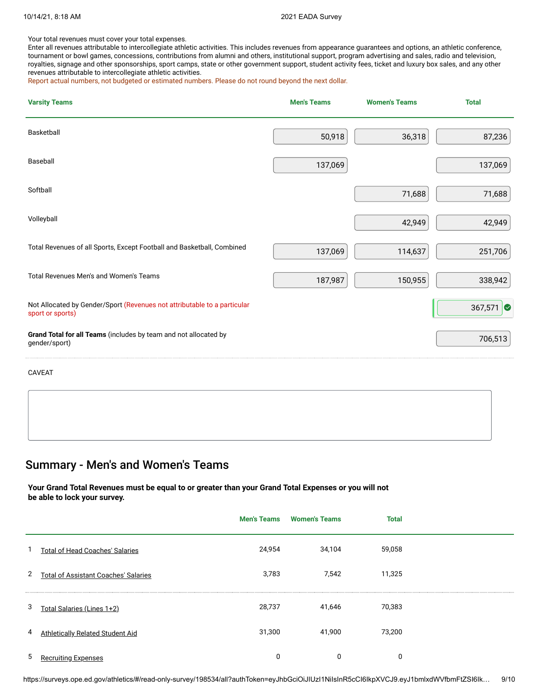Your total revenues must cover your total expenses.

Enter all revenues attributable to intercollegiate athletic activities. This includes revenues from appearance guarantees and options, an athletic conference, tournament or bowl games, concessions, contributions from alumni and others, institutional support, program advertising and sales, radio and television, royalties, signage and other sponsorships, sport camps, state or other government support, student activity fees, ticket and luxury box sales, and any other revenues attributable to intercollegiate athletic activities.

Report actual numbers, not budgeted or estimated numbers. Please do not round beyond the next dollar.

| <b>Varsity Teams</b>                                                                         | <b>Men's Teams</b> | <b>Women's Teams</b> | <b>Total</b>    |
|----------------------------------------------------------------------------------------------|--------------------|----------------------|-----------------|
| Basketball                                                                                   | 50,918             | 36,318               | 87,236          |
| Baseball                                                                                     | 137,069            |                      | 137,069         |
| Softball                                                                                     |                    | 71,688               | 71,688          |
| Volleyball                                                                                   |                    | 42,949               | 42,949          |
| Total Revenues of all Sports, Except Football and Basketball, Combined                       | 137,069            | 114,637              | 251,706         |
| Total Revenues Men's and Women's Teams                                                       | 187,987            | 150,955              | 338,942         |
| Not Allocated by Gender/Sport (Revenues not attributable to a particular<br>sport or sports) |                    |                      | 367,571 $\circ$ |
| Grand Total for all Teams (includes by team and not allocated by<br>gender/sport)            |                    |                      | 706,513         |
| <b>CAVEAT</b>                                                                                |                    |                      |                 |

#### Summary - Men's and Women's Teams

**Your Grand Total Revenues must be equal to or greater than your Grand Total Expenses or you will not be able to lock your survey.**

|   |                                             | <b>Men's Teams</b> | <b>Women's Teams</b> | <b>Total</b> |  |
|---|---------------------------------------------|--------------------|----------------------|--------------|--|
| 1 | <b>Total of Head Coaches' Salaries</b>      | 24,954             | 34,104               | 59,058       |  |
| 2 | <b>Total of Assistant Coaches' Salaries</b> | 3,783              | 7.542                | 11,325       |  |
| 3 | Total Salaries (Lines 1+2)                  | 28,737             | 41,646               | 70,383       |  |
| 4 | <b>Athletically Related Student Aid</b>     | 31,300             | 41,900               | 73,200       |  |
| 5 | <b>Recruiting Expenses</b>                  | 0                  | 0                    | 0            |  |

https://surveys.ope.ed.gov/athletics/#/read-only-survey/198534/all?authToken=eyJhbGciOiJIUzI1NiIsInR5cCI6IkpXVCJ9.eyJ1bmlxdWVfbmFtZSI6Ik… 9/10